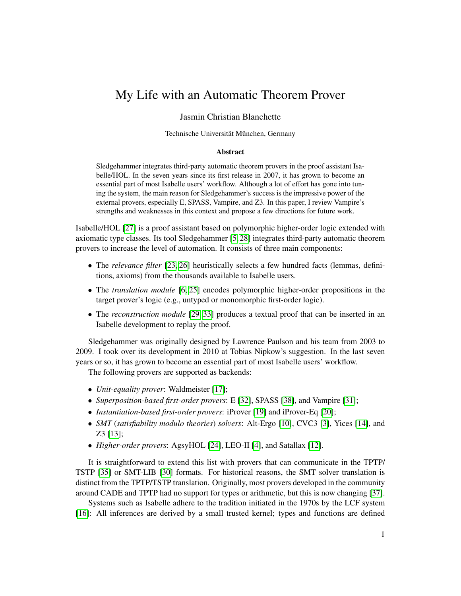## My Life with an Automatic Theorem Prover

## Jasmin Christian Blanchette

Technische Universität München, Germany

## Abstract

Sledgehammer integrates third-party automatic theorem provers in the proof assistant Isabelle/HOL. In the seven years since its first release in 2007, it has grown to become an essential part of most Isabelle users' workflow. Although a lot of effort has gone into tuning the system, the main reason for Sledgehammer's success is the impressive power of the external provers, especially E, SPASS, Vampire, and Z3. In this paper, I review Vampire's strengths and weaknesses in this context and propose a few directions for future work.

Isabelle/HOL [\[27\]](#page-5-0) is a proof assistant based on polymorphic higher-order logic extended with axiomatic type classes. Its tool Sledgehammer [\[5,](#page-4-0) [28\]](#page-5-1) integrates third-party automatic theorem provers to increase the level of automation. It consists of three main components:

- The *relevance filter* [\[23,](#page-5-2) [26\]](#page-5-3) heuristically selects a few hundred facts (lemmas, definitions, axioms) from the thousands available to Isabelle users.
- The *translation module* [\[6,](#page-4-1) [25\]](#page-5-4) encodes polymorphic higher-order propositions in the target prover's logic (e.g., untyped or monomorphic first-order logic).
- The *reconstruction module* [\[29,](#page-5-5) [33\]](#page-5-6) produces a textual proof that can be inserted in an Isabelle development to replay the proof.

Sledgehammer was originally designed by Lawrence Paulson and his team from 2003 to 2009. I took over its development in 2010 at Tobias Nipkow's suggestion. In the last seven years or so, it has grown to become an essential part of most Isabelle users' workflow.

The following provers are supported as backends:

- *Unit-equality prover*: Waldmeister [\[17\]](#page-4-2);
- *Superposition-based first-order provers*: E [\[32\]](#page-5-7), SPASS [\[38\]](#page-5-8), and Vampire [\[31\]](#page-5-9);
- *Instantiation-based first-order provers*: iProver [\[19\]](#page-4-3) and iProver-Eq [\[20\]](#page-4-4);
- *SMT* (*satisfiability modulo theories*) *solvers*: Alt-Ergo [\[10\]](#page-4-5), CVC3 [\[3\]](#page-4-6), Yices [\[14\]](#page-4-7), and Z3 [\[13\]](#page-4-8);
- *Higher-order provers*: AgsyHOL [\[24\]](#page-5-10), LEO-II [\[4\]](#page-4-9), and Satallax [\[12\]](#page-4-10).

It is straightforward to extend this list with provers that can communicate in the TPTP/ TSTP [\[35\]](#page-5-11) or SMT-LIB [\[30\]](#page-5-12) formats. For historical reasons, the SMT solver translation is distinct from the TPTP/TSTP translation. Originally, most provers developed in the community around CADE and TPTP had no support for types or arithmetic, but this is now changing [\[37\]](#page-5-13).

Systems such as Isabelle adhere to the tradition initiated in the 1970s by the LCF system [\[16\]](#page-4-11): All inferences are derived by a small trusted kernel; types and functions are defined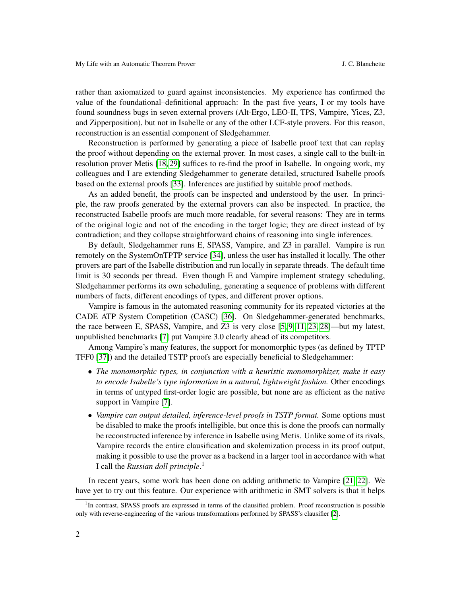rather than axiomatized to guard against inconsistencies. My experience has confirmed the value of the foundational–definitional approach: In the past five years, I or my tools have found soundness bugs in seven external provers (Alt-Ergo, LEO-II, TPS, Vampire, Yices, Z3, and Zipperposition), but not in Isabelle or any of the other LCF-style provers. For this reason, reconstruction is an essential component of Sledgehammer.

Reconstruction is performed by generating a piece of Isabelle proof text that can replay the proof without depending on the external prover. In most cases, a single call to the built-in resolution prover Metis [\[18,](#page-4-12) [29\]](#page-5-5) suffices to re-find the proof in Isabelle. In ongoing work, my colleagues and I are extending Sledgehammer to generate detailed, structured Isabelle proofs based on the external proofs [\[33\]](#page-5-6). Inferences are justified by suitable proof methods.

As an added benefit, the proofs can be inspected and understood by the user. In principle, the raw proofs generated by the external provers can also be inspected. In practice, the reconstructed Isabelle proofs are much more readable, for several reasons: They are in terms of the original logic and not of the encoding in the target logic; they are direct instead of by contradiction; and they collapse straightforward chains of reasoning into single inferences.

By default, Sledgehammer runs E, SPASS, Vampire, and Z3 in parallel. Vampire is run remotely on the SystemOnTPTP service [\[34\]](#page-5-14), unless the user has installed it locally. The other provers are part of the Isabelle distribution and run locally in separate threads. The default time limit is 30 seconds per thread. Even though E and Vampire implement strategy scheduling, Sledgehammer performs its own scheduling, generating a sequence of problems with different numbers of facts, different encodings of types, and different prover options.

Vampire is famous in the automated reasoning community for its repeated victories at the CADE ATP System Competition (CASC) [\[36\]](#page-5-15). On Sledgehammer-generated benchmarks, the race between E, SPASS, Vampire, and Z3 is very close [\[5,](#page-4-0) [9,](#page-4-13) [11,](#page-4-14) [23,](#page-5-2) [28\]](#page-5-1)—but my latest, unpublished benchmarks [\[7\]](#page-4-15) put Vampire 3.0 clearly ahead of its competitors.

Among Vampire's many features, the support for monomorphic types (as defined by TPTP TFF0 [\[37\]](#page-5-13)) and the detailed TSTP proofs are especially beneficial to Sledgehammer:

- *The monomorphic types, in conjunction with a heuristic monomorphizer, make it easy to encode Isabelle's type information in a natural, lightweight fashion.* Other encodings in terms of untyped first-order logic are possible, but none are as efficient as the native support in Vampire [\[7\]](#page-4-15).
- *Vampire can output detailed, inference-level proofs in TSTP format.* Some options must be disabled to make the proofs intelligible, but once this is done the proofs can normally be reconstructed inference by inference in Isabelle using Metis. Unlike some of its rivals, Vampire records the entire clausification and skolemization process in its proof output, making it possible to use the prover as a backend in a larger tool in accordance with what I call the *Russian doll principle*. 1

In recent years, some work has been done on adding arithmetic to Vampire [\[21,](#page-5-16) [22\]](#page-5-17). We have yet to try out this feature. Our experience with arithmetic in SMT solvers is that it helps

<sup>&</sup>lt;sup>1</sup>In contrast, SPASS proofs are expressed in terms of the clausified problem. Proof reconstruction is possible only with reverse-engineering of the various transformations performed by SPASS's clausifier [\[2\]](#page-4-16).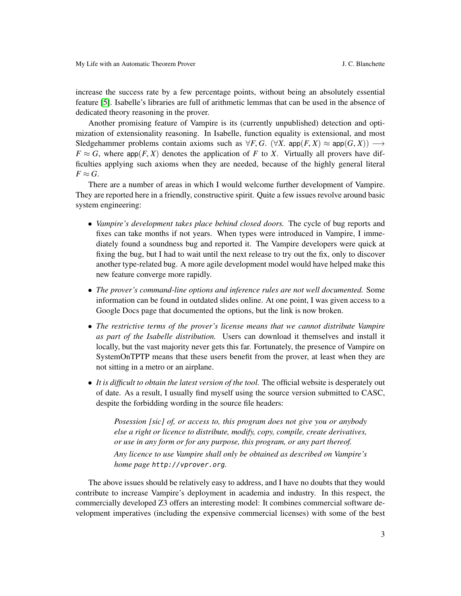increase the success rate by a few percentage points, without being an absolutely essential feature [\[5\]](#page-4-0). Isabelle's libraries are full of arithmetic lemmas that can be used in the absence of dedicated theory reasoning in the prover.

Another promising feature of Vampire is its (currently unpublished) detection and optimization of extensionality reasoning. In Isabelle, function equality is extensional, and most Sledgehammer problems contain axioms such as  $\forall F, G$ . ( $\forall X$ . app $(F, X) \approx$  app $(G, X)$ )  $\longrightarrow$  $F \approx G$ , where app $(F, X)$  denotes the application of *F* to *X*. Virtually all provers have difficulties applying such axioms when they are needed, because of the highly general literal  $F \approx G$ .

There are a number of areas in which I would welcome further development of Vampire. They are reported here in a friendly, constructive spirit. Quite a few issues revolve around basic system engineering:

- *Vampire's development takes place behind closed doors.* The cycle of bug reports and fixes can take months if not years. When types were introduced in Vampire, I immediately found a soundness bug and reported it. The Vampire developers were quick at fixing the bug, but I had to wait until the next release to try out the fix, only to discover another type-related bug. A more agile development model would have helped make this new feature converge more rapidly.
- *The prover's command-line options and inference rules are not well documented.* Some information can be found in outdated slides online. At one point, I was given access to a Google Docs page that documented the options, but the link is now broken.
- *The restrictive terms of the prover's license means that we cannot distribute Vampire as part of the Isabelle distribution.* Users can download it themselves and install it locally, but the vast majority never gets this far. Fortunately, the presence of Vampire on SystemOnTPTP means that these users benefit from the prover, at least when they are not sitting in a metro or an airplane.
- *It is difficult to obtain the latest version of the tool.* The official website is desperately out of date. As a result, I usually find myself using the source version submitted to CASC, despite the forbidding wording in the source file headers:

*Posession [sic] of, or access to, this program does not give you or anybody else a right or licence to distribute, modify, copy, compile, create derivatives, or use in any form or for any purpose, this program, or any part thereof. Any licence to use Vampire shall only be obtained as described on Vampire's home page* http://vprover.org*.*

The above issues should be relatively easy to address, and I have no doubts that they would contribute to increase Vampire's deployment in academia and industry. In this respect, the commercially developed Z3 offers an interesting model: It combines commercial software development imperatives (including the expensive commercial licenses) with some of the best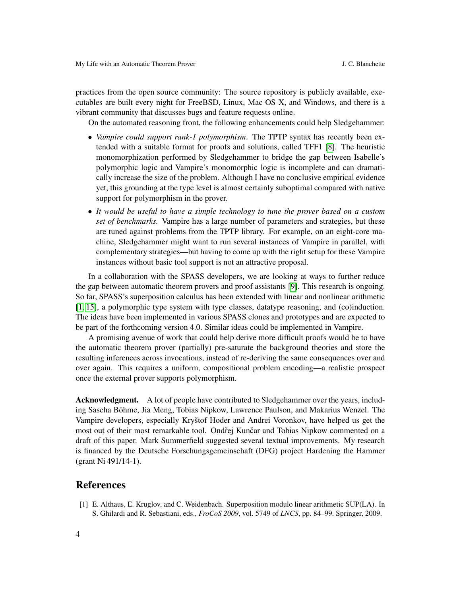practices from the open source community: The source repository is publicly available, executables are built every night for FreeBSD, Linux, Mac OS X, and Windows, and there is a vibrant community that discusses bugs and feature requests online.

On the automated reasoning front, the following enhancements could help Sledgehammer:

- *Vampire could support rank-1 polymorphism*. The TPTP syntax has recently been extended with a suitable format for proofs and solutions, called TFF1 [\[8\]](#page-4-17). The heuristic monomorphization performed by Sledgehammer to bridge the gap between Isabelle's polymorphic logic and Vampire's monomorphic logic is incomplete and can dramatically increase the size of the problem. Although I have no conclusive empirical evidence yet, this grounding at the type level is almost certainly suboptimal compared with native support for polymorphism in the prover.
- *It would be useful to have a simple technology to tune the prover based on a custom set of benchmarks.* Vampire has a large number of parameters and strategies, but these are tuned against problems from the TPTP library. For example, on an eight-core machine, Sledgehammer might want to run several instances of Vampire in parallel, with complementary strategies—but having to come up with the right setup for these Vampire instances without basic tool support is not an attractive proposal.

In a collaboration with the SPASS developers, we are looking at ways to further reduce the gap between automatic theorem provers and proof assistants [\[9\]](#page-4-13). This research is ongoing. So far, SPASS's superposition calculus has been extended with linear and nonlinear arithmetic [\[1,](#page-3-0) [15\]](#page-4-18), a polymorphic type system with type classes, datatype reasoning, and (co)induction. The ideas have been implemented in various SPASS clones and prototypes and are expected to be part of the forthcoming version 4.0. Similar ideas could be implemented in Vampire.

A promising avenue of work that could help derive more difficult proofs would be to have the automatic theorem prover (partially) pre-saturate the background theories and store the resulting inferences across invocations, instead of re-deriving the same consequences over and over again. This requires a uniform, compositional problem encoding—a realistic prospect once the external prover supports polymorphism.

Acknowledgment. A lot of people have contributed to Sledgehammer over the years, including Sascha Böhme, Jia Meng, Tobias Nipkow, Lawrence Paulson, and Makarius Wenzel. The Vampire developers, especially Kryštof Hoder and Andrei Voronkov, have helped us get the most out of their most remarkable tool. Ondřej Kunčar and Tobias Nipkow commented on a draft of this paper. Mark Summerfield suggested several textual improvements. My research is financed by the Deutsche Forschungsgemeinschaft (DFG) project Hardening the Hammer (grant Ni 491/14-1).

## References

<span id="page-3-0"></span>[1] E. Althaus, E. Kruglov, and C. Weidenbach. Superposition modulo linear arithmetic SUP(LA). In S. Ghilardi and R. Sebastiani, eds., *FroCoS 2009*, vol. 5749 of *LNCS*, pp. 84–99. Springer, 2009.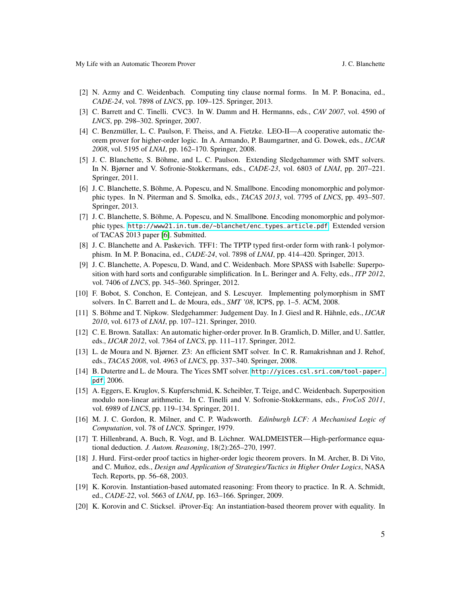- <span id="page-4-16"></span>[2] N. Azmy and C. Weidenbach. Computing tiny clause normal forms. In M. P. Bonacina, ed., *CADE-24*, vol. 7898 of *LNCS*, pp. 109–125. Springer, 2013.
- <span id="page-4-6"></span>[3] C. Barrett and C. Tinelli. CVC3. In W. Damm and H. Hermanns, eds., *CAV 2007*, vol. 4590 of *LNCS*, pp. 298–302. Springer, 2007.
- <span id="page-4-9"></span>[4] C. Benzmüller, L. C. Paulson, F. Theiss, and A. Fietzke. LEO-II—A cooperative automatic theorem prover for higher-order logic. In A. Armando, P. Baumgartner, and G. Dowek, eds., *IJCAR 2008*, vol. 5195 of *LNAI*, pp. 162–170. Springer, 2008.
- <span id="page-4-0"></span>[5] J. C. Blanchette, S. Böhme, and L. C. Paulson. Extending Sledgehammer with SMT solvers. In N. Bjørner and V. Sofronie-Stokkermans, eds., *CADE-23*, vol. 6803 of *LNAI*, pp. 207–221. Springer, 2011.
- <span id="page-4-1"></span>[6] J. C. Blanchette, S. Böhme, A. Popescu, and N. Smallbone. Encoding monomorphic and polymorphic types. In N. Piterman and S. Smolka, eds., *TACAS 2013*, vol. 7795 of *LNCS*, pp. 493–507. Springer, 2013.
- <span id="page-4-15"></span>[7] J. C. Blanchette, S. Böhme, A. Popescu, and N. Smallbone. Encoding monomorphic and polymorphic types. [http://www21.in.tum.de/~blanchet/enc\\_types\\_article.pdf](http://www21.in.tum.de/~blanchet/enc_types_article.pdf). Extended version of TACAS 2013 paper [\[6\]](#page-4-1). Submitted.
- <span id="page-4-17"></span>[8] J. C. Blanchette and A. Paskevich. TFF1: The TPTP typed first-order form with rank-1 polymorphism. In M. P. Bonacina, ed., *CADE-24*, vol. 7898 of *LNAI*, pp. 414–420. Springer, 2013.
- <span id="page-4-13"></span>[9] J. C. Blanchette, A. Popescu, D. Wand, and C. Weidenbach. More SPASS with Isabelle: Superposition with hard sorts and configurable simplification. In L. Beringer and A. Felty, eds., *ITP 2012*, vol. 7406 of *LNCS*, pp. 345–360. Springer, 2012.
- <span id="page-4-5"></span>[10] F. Bobot, S. Conchon, E. Contejean, and S. Lescuyer. Implementing polymorphism in SMT solvers. In C. Barrett and L. de Moura, eds., *SMT '08*, ICPS, pp. 1–5. ACM, 2008.
- <span id="page-4-14"></span>[11] S. Böhme and T. Nipkow. Sledgehammer: Judgement Day. In J. Giesl and R. Hähnle, eds., *IJCAR 2010*, vol. 6173 of *LNAI*, pp. 107–121. Springer, 2010.
- <span id="page-4-10"></span>[12] C. E. Brown. Satallax: An automatic higher-order prover. In B. Gramlich, D. Miller, and U. Sattler, eds., *IJCAR 2012*, vol. 7364 of *LNCS*, pp. 111–117. Springer, 2012.
- <span id="page-4-8"></span>[13] L. de Moura and N. Bjørner. Z3: An efficient SMT solver. In C. R. Ramakrishnan and J. Rehof, eds., *TACAS 2008*, vol. 4963 of *LNCS*, pp. 337–340. Springer, 2008.
- <span id="page-4-7"></span>[14] B. Dutertre and L. de Moura. The Yices SMT solver. [http://yices.csl.sri.com/tool-paper.](http://yices.csl.sri.com/tool-paper.pdf) [pdf](http://yices.csl.sri.com/tool-paper.pdf), 2006.
- <span id="page-4-18"></span>[15] A. Eggers, E. Kruglov, S. Kupferschmid, K. Scheibler, T. Teige, and C. Weidenbach. Superposition modulo non-linear arithmetic. In C. Tinelli and V. Sofronie-Stokkermans, eds., *FroCoS 2011*, vol. 6989 of *LNCS*, pp. 119–134. Springer, 2011.
- <span id="page-4-11"></span>[16] M. J. C. Gordon, R. Milner, and C. P. Wadsworth. *Edinburgh LCF: A Mechanised Logic of Computation*, vol. 78 of *LNCS*. Springer, 1979.
- <span id="page-4-2"></span>[17] T. Hillenbrand, A. Buch, R. Vogt, and B. Löchner. WALDMEISTER—High-performance equational deduction. *J. Autom. Reasoning*, 18(2):265–270, 1997.
- <span id="page-4-12"></span>[18] J. Hurd. First-order proof tactics in higher-order logic theorem provers. In M. Archer, B. Di Vito, and C. Muñoz, eds., *Design and Application of Strategies/Tactics in Higher Order Logics*, NASA Tech. Reports, pp. 56–68, 2003.
- <span id="page-4-3"></span>[19] K. Korovin. Instantiation-based automated reasoning: From theory to practice. In R. A. Schmidt, ed., *CADE-22*, vol. 5663 of *LNAI*, pp. 163–166. Springer, 2009.
- <span id="page-4-4"></span>[20] K. Korovin and C. Sticksel. iProver-Eq: An instantiation-based theorem prover with equality. In